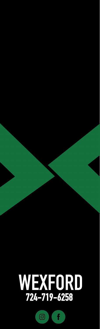

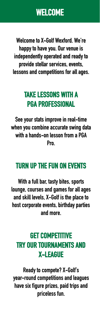**Welcome to X-Golf Wexford. We're happy to have you. Our venue is independently operated and ready to provide stellar services, events, lessons and competitions for all ages.**

## **TAKE LESSONS WITH A PGA PROFESSIONAL**

**See your stats improve in real-time when you combine accurate swing data with a hands-on lesson from a PGA Pro.**

### **TURN UP THE FUN ON EVENTS**

**With a full bar, tasty bites, sports lounge, courses and games for all ages and skill levels, X-Golf is the place to host corporate events, birthday parties and more.**

### **GET COMPETITIVE TRY OUR TOURNAMENTS AND X-LEAGUE**

**Ready to compete? X-Golf's year-round competitions and leagues have six figure prizes, paid trips and priceless fun.**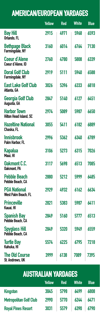## **AMERICAN/EUROPEAN YARDAGES**

|                                                     | <b>Yellow</b> | <b>Red</b> | <b>White</b> | <b>Blue</b> |
|-----------------------------------------------------|---------------|------------|--------------|-------------|
| <b>Bay Hill</b><br>Orlando, FL                      | 2915          | 4971       | 5968         | 6593        |
| <b>Bethpage Black</b><br>Farmingdale, NY            | 3160          | 6014       | 6764         | 7130        |
| Coeur d'Alene<br>Coeur d'Alene, ID                  | 2760          | 4780       | 5808         | 6339        |
| <b>Doral Golf Club</b><br>Farmingdale, NY           | 2919          | 5111       | 5940         | 6588        |
| <b>East Lake Golf Club</b><br>Atlanta, GA           | 3026          | 5396       | 6333         | 6818        |
| Georgia Golf Club<br>Augusta, GA                    | 2847          | 5140       | 6127         | 6451        |
| <b>Harbor Town</b><br><b>Hilton Head Island, SC</b> | 2974          | 5089       | 5987         | 6650        |
| <b>Hazeltine National</b><br>Chaska, FL             | 3055          | 5411       | 6182         | 6889        |
| <b>Innisbrook</b><br>Palm Harbor, FL                | 2996          | 5362       | 6340         | 6789        |
| <b>Kapalua</b><br>Maui. HI                          | 3106          | 5273       | 6315         | 7026        |
| <b>Oakmont C.C.</b><br><b>Oakmont, PA</b>           | 3117          | 5698       | 6513         | 7085        |
| <b>Pebble Beach</b><br>Pebble Beach, CA             | 2880          | 5212       | 5999         | 6485        |
| <b>PGA National</b><br><b>West Palm Beach, FL</b>   | 2929          | 4932       | 6162         | 6634        |
| <b>Princeville</b><br>Kauai. HI                     | 2821          | 5383       | 5987         | 6411        |
| <b>Spanish Bay</b><br>Pebble Beach, CA              | 2849          | 5160       | 5777         | 6513        |
| <b>Spyglass Hill</b><br>Pebble Beach. CA            | 2849          | 5320       | 5949         | 6559        |
| <b>Turtle Bay</b><br>Kahuka. HI                     | 5574          | 6225       | 6795         | 7218        |
| <b>The Old Course</b><br><b>St. Andrews, UK</b>     | 3999          | 6138       | 7089         | 7395        |

## **AUSTRALIAN YARDAGES**

|                               | Yellow | <b>Red</b> | <b>White</b> | <b>Blue</b> |
|-------------------------------|--------|------------|--------------|-------------|
| <b>Kingston</b>               | 3045   | 5798       | 6499         | 6808        |
| <b>Metropolitan Golf Club</b> | 2990   | 5770       | 6244         | 6471        |
| <b>Royal Pines Resort</b>     | 3031   | 5579       | 6390         | 6790        |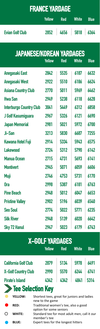| <b>FRANCE YARDAGE</b>           |               |            |              |             |
|---------------------------------|---------------|------------|--------------|-------------|
|                                 | <b>Yellow</b> | <b>Red</b> | <b>White</b> | <b>Blue</b> |
| <b>Evian Golf Club</b>          | 2852          | 4656       | 5818         | 6364        |
| <b>JAPANESE/KOREAN YARDAGES</b> | <b>Yellow</b> | Red        | <b>White</b> | <b>Blue</b> |
| <b>Anegasaki East</b>           | 2842          | 5535       | 6187         | 6632        |
| <b>Anegasaki West</b>           | 2922          | 5510       | 6186         | 6624        |
| <b>Asiana Country Club</b>      | 2770          | 5011       | 5969         | 6462        |
| <b>Hwa San</b>                  | 2949          | 5238       | 6118         | 6628        |
| <b>Interburgo Country Club</b>  | 3041          | 5449       | 6312         | 6858        |
| J Golf Kasumiguara              | 2967          | 5326       | 6121         | 6690        |
| <b>Japan Memorial</b>           | 2981          | 5021       | 5972         | 6700        |
| Ji-San                          | 3213          | 5830       | 6687         | 7255        |
| <b>Kawana Hotel Fuji</b>        | 2914          | 5334       | 5943         | 6575        |
| <b>Lakewood</b>                 | 2724          | 5312       | 5790         | 6142        |
| <b>Manua Ocean</b>              | 2715          | 4731       | 5693         | 6141        |
| <b>Montivert</b>                | 2945          | 5071       | 6059         | 6606        |
| Muji                            | 2746          | 4753       | 5731         | 6170        |
| 0ra                             | 2998          | 5387       | 6181         | 6763        |
| <b>Pine Beach</b>               | 2948          | 5012       | 6047         | 6653        |
| <b>Pristine Valley</b>          | 2902          | 5196       | 6039         | 6540        |
| <b>Seo Soul</b>                 | 2774          | 5022       | 5771         | 6235        |
| <b>Silk River</b>               | 2948          | 5139       | 6020         | 6642        |
| <b>Sky 72 Hanul</b>             | 2947          | 5023       | 6179         | 6743        |
| <b>X-GOLF YARDAGES</b><br>V.II  |               |            |              |             |

|                             | <b>Yellow</b> | <b>Red</b> | <b>White</b> | <b>Blue</b> |
|-----------------------------|---------------|------------|--------------|-------------|
| <b>California Golf Club</b> | 2879          | 5134       | 5978         | 6491        |
| <b>X-Golf Country Club</b>  | 2990          | 5570       | 6244         | 6741        |
| <b>Pirate's Island</b>      | 4342          | 4342       | 4841         | 5314        |
| Selection Key               |               |            |              |             |

| YELLOW:      | Shortest tees, great for juniors and ladies<br>new to the game  |
|--------------|-----------------------------------------------------------------|
| <b>RED:</b>  | Traditional women's tee, also a good<br>option for some seniors |
| WHITE:       | Standard tee for most adult men, call it our<br>member's tee    |
| <b>BLUE:</b> | Expert tees for the longest hitters                             |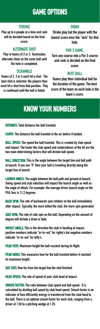### **GAME OPTIONS**

### **STROKE**

**Play up to 6 people at a time and rank will be decided based on the final score.**

### **ALTERNATE SHOT**

**Play in teams of 2 or 3. Teammates alternate shots on the same ball until the hole is completed.**

#### **SCRAMBLE**

**Teams of 2, 3 or 4 each hit a shot. The best shot is selected, the players then each hit a shot from that position. Play is continued until the ball is holed.**

#### **SKINS**

**Stroke play but the player with the lowest score wins the "skin" for that hole.**

### **PAR 3 GAME.**

**Turn any course into a Par 3 course and rank is decided on the final score.**

#### **BEST BALL**

**Teams play their individual ball for the duration of the game. The best score of the team on each hole is the team's score.**

### **KNOW YOUR NUMBERS**

**DISTANCE: Total distance the ball traveled.**

**CARRY: The distance the ball traveled in the air before it landed.**

**BALL SPEED: The speed the ball traveled. This is created by club speed and impact. The faster the club speed and centeredness of the hit are the two main determining factors that will dictate ball speed.**

**BALL DIRECTION: This is the angle between the target line and ball path at launch. If you see "0" then your ball is traveling directly along the target line at launch.**

**LAUNCH ANGLE: The angle between the ball path and ground at launch. Swing speed and club selection will impact the launch angle as well as the angle of attack. For example, the average driver launch angle on the PGA Tour is 11.2 degrees.**

**BACK SPIN: The rate of backwards spin rotation on the ball immediately after impact. Typically, the more lofted the club, the more spin generated.** 

**SIDE SPIN: The rate of side spin on the ball. Depending on the amount of degree will dictate a draw or fade.**

**IMPACT ANGLE: This is the direction the club is heading at impact. positive numbers indicate "in-to-out" for righty's but negative numbers indicate "in-to-out" for lefty's.**

**PEAK VERT: Maximum height the ball reached during its flight.**

**PEAK HORIZ: This measures how far the ball traveled before it reached its maximum height.**

**SEP. DIST: How far from the target line the shot finished.**

**HEAD SPEED: The rate of speed of your club head at impact.** 

**SMASH FACTOR: The ratio between club speed and ball speed. It is calculated by dividing ball speed by club head speed. Smash factor is an indicator of how efficiently energy is transferred from the club head to the ball. There is an optimal smash factor for each club, ranging from a driver at 1.50 to a pitching wedge at 1.25.**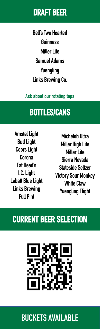## **DRAFT BEER**

**Bell's Two Hearted Guinness Miller Lite Samuel Adams Yuengling Links Brewing Co.**

### **Ask about our rotating taps**

## **BOTTLES/CANS**

**Amstel Light Bud Light Coors Light Corona Fat Head's I.C. Light Labatt Blue Light Links Brewing Full Pint**

**Michelob Ultra Miller High Life Miller Lite Sierra Nevada Stateside Seltzer Victory Sour Monkey White Claw Yuengling Flight**

## **CURRENT BEER SELECTION**



## **BUCKETS AVAILABLE**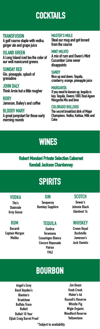## **COCKTAILS**

### **TRANSFUSION**

**A golf course staple with vodka, ginger ale and grape juice**

**ISLAND GREEN A Long Island iced tea the color of our well manicured greens**

**SUNDAY RED Gin, pineapple, splash of grenadine**

**JOHN DALY Think Arnie but a little rougher**

**RORY Jameson, Bailey's and coffee**

### **BLOODY MARY**

**A great jumpstart for those early morning rounds**

### **MASTER'S MULE**

**Steal our mug and get tossed from the course**

### **MINT MOJITO**

**A mix of rum and Owen's Mint Cucumber Lime never disappoints**

### **SANDY**

**Nice up and down. Tequila, cranberry, orange, pineapple juice**

### **MARGARITA**

**If you need to loosen up, tequila is key. Tequila, Owens 100% Real Agave Margarita Mix and lime**

### **COLORADO BULLDOG**

**The secret breakfast dink of Major Champions. Vodka, Kahlua, Milk and Coke**

## **WINES**

### **Robert Mondavi Private Selection Cabernet Kendall Jackson Chardonnay**

## **SPIRITS**

### **VODKA**

**Tito's Stateside Grey Goose**

### **RUM**

**Bacardi Captain Morgan Malibu**

**GIN Tanqueray Bombay Sapphire**

### **TEQUILA**

**Exotico Teramana Casamigos Blanco Cincoro Reposado Patron 1942**

### **SCOTCH**

**Dewar's Johnnie Black Glenlivet 14**

### **WHISKEY**

**Crown Royal Bushmills Jameson's Jack Daniels**

## **BOURBON**

**Angel's Envy Basil Hayden's Blanton's Bradshaw Buffalo Trace Bulleit Bulleit 10 Year Eljiah Craig Barrel Proof**

**Jim Beam Knob Creek Maker's 46 Russell's Reserve Whistle Pig Wigle Organic Woodford Reserve Yellowstone**

**\*Subject to availability**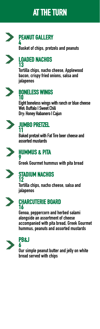## **AT THE TURN**



### **PEANUT GALLERY 4**

**Basket of chips, pretzels and peanuts**

### **LOADED NACHOS 13**

**Tortilla chips, nacho cheese, Applewood bacon, crispy fried onions, salsa and jalapenos**



### **BONELESS WINGS 10**

**Eight boneless wings with ranch or blue cheese Wet: Buffalo I Sweet Chili Dry: Honey Habanero I Cajun** 



### **JUMBO PRETZEL 11**

**Baked pretzel with Fat Tire beer cheese and assorted mustards**



### **HUMMUS & PITA**

**9 Greek Gourmet hummus with pita bread**



### **STADIUM NACHOS 12**

**Tortilla chips, nacho cheese, salsa and jalapenos**



### **CHARCUTERIE BOARD 16**

**Genoa, peppercorn and herbed salami alongside an assortment of cheese accompanied with pita bread, Greek Gourmet hummus, peanuts and assorted mustards** 



### **PB&J 6**

**Our simple peanut butter and jelly on white bread served with chips**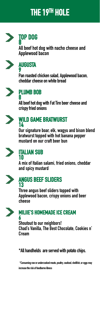## **THE 19TH HOLE**



# **TOP DOG <sup>8</sup>**

**All beef hot dog with nacho cheese and Applewood bacon**



### **AUGUSTA 9**

**Pan roasted chicken salad, Applewood bacon, cheddar cheese on white bread**



### **PLUMB BOB 8**

**All beef hot dog with Fat Tire beer cheese and crispy fried onions**



### **WILD GAME BRATWURST 14**

**Our signature boar, elk, wagyu and bison blend bratwurst topped with hot banana pepper mustard on our craft beer bun**



### **ITALIAN SUB 10**

**A mix of Italian salami, fried onions, cheddar and spicy mustard**



### **ANGUS BEEF SLIDERS 13**

**Three angus beef sliders topped with Applewood bacon, crispy onions and beer cheese**



### **MILIIE'S HOMEMADE ICE CREAM 6**

**Shoutout to our neighbors! Chad's Vanilla, The Best Chocolate, Cookies n' Cream**

**\*All handhelds are served with potato chips.**

**\*Consuming raw or undercooked meats, poultry, seafood, shellfish, or eggs may increase the risk of foodborne illness**